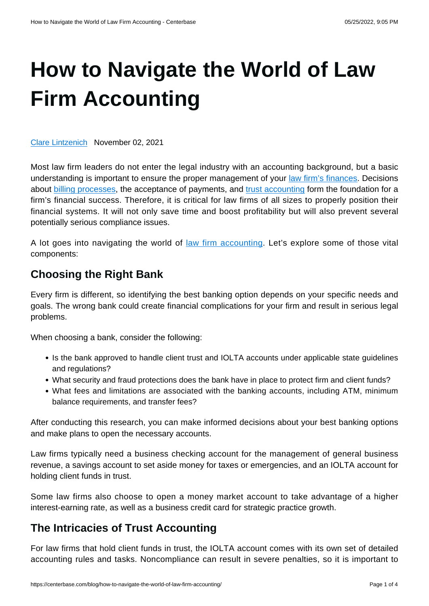# **[How to Navigate the World of Law](https://centerbase.com/blog/how-to-navigate-the-world-of-law-firm-accounting/) [Firm Accounting](https://centerbase.com/blog/how-to-navigate-the-world-of-law-firm-accounting/)**

[Clare Lintzenich](https://centerbase.com/blog/author/clare-lintzenich/) November 02, 2021

Most law firm leaders do not enter the legal industry with an accounting background, but a basic understanding is important to ensure the proper management of your [law firm's finances.](https://centerbase.com/blog/the-complete-guide-to-your-law-firms-finances/) Decisions about [billing processes](https://centerbase.com/features/legal-billing/), the acceptance of payments, and [trust accounting](https://centerbase.com/blog/accounting-for-lawsuit-settlement-payments-tips-for-handling-client-funds/) form the foundation for a firm's financial success. Therefore, it is critical for law firms of all sizes to properly position their financial systems. It will not only save time and boost profitability but will also prevent several potentially serious compliance issues.

A lot goes into navigating the world of [law firm accounting.](https://centerbase.com/features/legal-accounting/) Let's explore some of those vital components:

## **Choosing the Right Bank**

Every firm is different, so identifying the best banking option depends on your specific needs and goals. The wrong bank could create financial complications for your firm and result in serious legal problems.

When choosing a bank, consider the following:

- Is the bank approved to handle client trust and IOLTA accounts under applicable state guidelines and regulations?
- What security and fraud protections does the bank have in place to protect firm and client funds?
- What fees and limitations are associated with the banking accounts, including ATM, minimum balance requirements, and transfer fees?

After conducting this research, you can make informed decisions about your best banking options and make plans to open the necessary accounts.

Law firms typically need a business checking account for the management of general business revenue, a savings account to set aside money for taxes or emergencies, and an IOLTA account for holding client funds in trust.

Some law firms also choose to open a money market account to take advantage of a higher interest-earning rate, as well as a business credit card for strategic practice growth.

## **The Intricacies of Trust Accounting**

For law firms that hold client funds in trust, the IOLTA account comes with its own set of detailed accounting rules and tasks. Noncompliance can result in severe penalties, so it is important to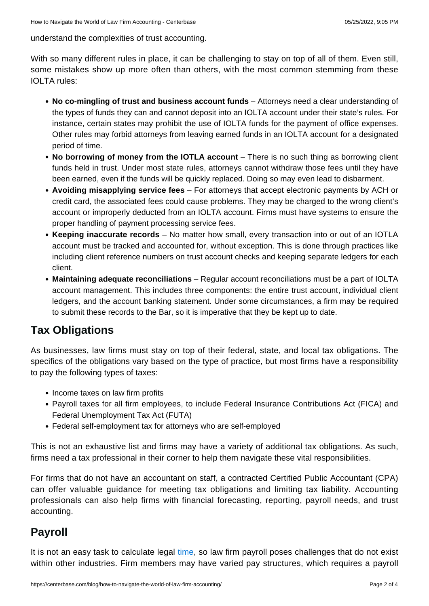understand the complexities of trust accounting.

With so many different rules in place, it can be challenging to stay on top of all of them. Even still, some mistakes show up more often than others, with the most common stemming from these IOLTA rules:

- **No co-mingling of trust and business account funds** Attorneys need a clear understanding of the types of funds they can and cannot deposit into an IOLTA account under their state's rules. For instance, certain states may prohibit the use of IOLTA funds for the payment of office expenses. Other rules may forbid attorneys from leaving earned funds in an IOLTA account for a designated period of time.
- **No borrowing of money from the IOTLA account** There is no such thing as borrowing client funds held in trust. Under most state rules, attorneys cannot withdraw those fees until they have been earned, even if the funds will be quickly replaced. Doing so may even lead to disbarment.
- **Avoiding misapplying service fees** For attorneys that accept electronic payments by ACH or credit card, the associated fees could cause problems. They may be charged to the wrong client's account or improperly deducted from an IOLTA account. Firms must have systems to ensure the proper handling of payment processing service fees.
- **Keeping inaccurate records** No matter how small, every transaction into or out of an IOTLA account must be tracked and accounted for, without exception. This is done through practices like including client reference numbers on trust account checks and keeping separate ledgers for each client.
- **Maintaining adequate reconciliations** Regular account reconciliations must be a part of IOLTA account management. This includes three components: the entire trust account, individual client ledgers, and the account banking statement. Under some circumstances, a firm may be required to submit these records to the Bar, so it is imperative that they be kept up to date.

## **Tax Obligations**

As businesses, law firms must stay on top of their federal, state, and local tax obligations. The specifics of the obligations vary based on the type of practice, but most firms have a responsibility to pay the following types of taxes:

- Income taxes on law firm profits
- Payroll taxes for all firm employees, to include Federal Insurance Contributions Act (FICA) and Federal Unemployment Tax Act (FUTA)
- Federal self-employment tax for attorneys who are self-employed

This is not an exhaustive list and firms may have a variety of additional tax obligations. As such, firms need a tax professional in their corner to help them navigate these vital responsibilities.

For firms that do not have an accountant on staff, a contracted Certified Public Accountant (CPA) can offer valuable guidance for meeting tax obligations and limiting tax liability. Accounting professionals can also help firms with financial forecasting, reporting, payroll needs, and trust accounting.

# **Payroll**

It is not an easy task to calculate legal [time,](https://centerbase.com/blog/legal-time-tracking-101/) so law firm payroll poses challenges that do not exist within other industries. Firm members may have varied pay structures, which requires a payroll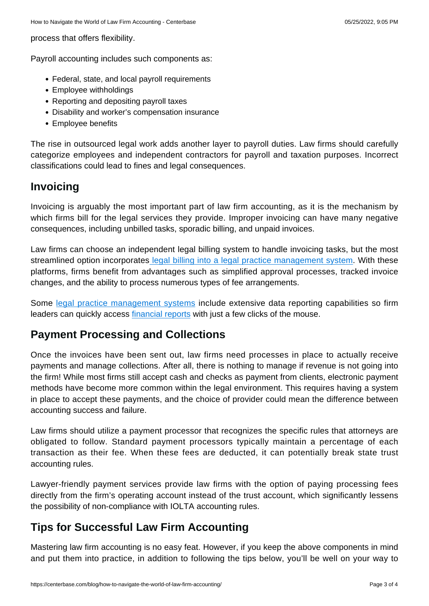process that offers flexibility.

Payroll accounting includes such components as:

- Federal, state, and local payroll requirements
- Employee withholdings
- Reporting and depositing payroll taxes
- Disability and worker's compensation insurance
- Employee benefits

The rise in outsourced legal work adds another layer to payroll duties. Law firms should carefully categorize employees and independent contractors for payroll and taxation purposes. Incorrect classifications could lead to fines and legal consequences.

### **Invoicing**

Invoicing is arguably the most important part of law firm accounting, as it is the mechanism by which firms bill for the legal services they provide. Improper invoicing can have many negative consequences, including unbilled tasks, sporadic billing, and unpaid invoices.

Law firms can choose an independent legal billing system to handle invoicing tasks, but the most streamlined option incorporate[s legal billing into a legal practice management system.](https://centerbase.com/blog/how-legal-practice-management-software-lessens-the-workload-for-law-firm-billing-departments/) With these platforms, firms benefit from advantages such as simplified approval processes, tracked invoice changes, and the ability to process numerous types of fee arrangements.

Some [legal practice management systems](https://centerbase.com/platform-overview/) include extensive data reporting capabilities so firm leaders can quickly access [financial reports](https://centerbase.com/blog/the-eight-essential-financial-reports-your-law-firm-needs/) with just a few clicks of the mouse.

### **Payment Processing and Collections**

Once the invoices have been sent out, law firms need processes in place to actually receive payments and manage collections. After all, there is nothing to manage if revenue is not going into the firm! While most firms still accept cash and checks as payment from clients, electronic payment methods have become more common within the legal environment. This requires having a system in place to accept these payments, and the choice of provider could mean the difference between accounting success and failure.

Law firms should utilize a payment processor that recognizes the specific rules that attorneys are obligated to follow. Standard payment processors typically maintain a percentage of each transaction as their fee. When these fees are deducted, it can potentially break state trust accounting rules.

Lawyer-friendly payment services provide law firms with the option of paying processing fees directly from the firm's operating account instead of the trust account, which significantly lessens the possibility of non-compliance with IOLTA accounting rules.

## **Tips for Successful Law Firm Accounting**

Mastering law firm accounting is no easy feat. However, if you keep the above components in mind and put them into practice, in addition to following the tips below, you'll be well on your way to